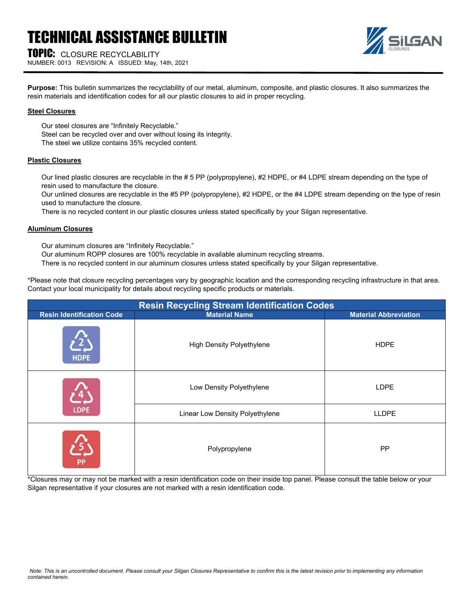# TECHNICAL ASSISTANCE BULLETIN

**TOPIC:** CLOSURE RECYCLABILITY NUMBER: 0013 REVISION: A ISSUED: May, 14th, 2021



**Purpose:** This bulletin summarizes the recyclability of our metal, aluminum, composite, and plastic closures. It also summarizes the resin materials and identification codes for all our plastic closures to aid in proper recycling.

#### **Steel Closures**

Our steel closures are "Infinitely Recyclable." Steel can be recycled over and over without losing its integrity. The steel we utilize contains 35% recycled content.

## **Plastic Closures**

Our lined plastic closures are recyclable in the # 5 PP (polypropylene), #2 HDPE, or #4 LDPE stream depending on the type of resin used to manufacture the closure.

Our unlined closures are recyclable in the #5 PP (polypropylene), #2 HDPE, or the #4 LDPE stream depending on the type of resin used to manufacture the closure.

There is no recycled content in our plastic closures unless stated specifically by your Silgan representative.

### **Aluminum Closures**

Our aluminum closures are "Infinitely Recyclable."

Our aluminum ROPP closures are 100% recyclable in available aluminum recycling streams.

There is no recycled content in our aluminum closures unless stated specifically by your Silgan representative.

\*Please note that closure recycling percentages vary by geographic location and the corresponding recycling infrastructure in that area. Contact your local municipality for details about recycling specific products or materials.

| <b>Resin Recycling Stream Identification Codes</b> |                                  |                              |  |
|----------------------------------------------------|----------------------------------|------------------------------|--|
| <b>Resin Identification Code</b>                   | <b>Material Name</b>             | <b>Material Abbreviation</b> |  |
| <b>HDPE</b>                                        | <b>High Density Polyethylene</b> | <b>HDPE</b>                  |  |
| <b>LDPE</b>                                        | Low Density Polyethylene         | <b>LDPE</b>                  |  |
|                                                    | Linear Low Density Polyethylene  | <b>LLDPE</b>                 |  |
| <b>PP</b>                                          | Polypropylene                    | <b>PP</b>                    |  |

\*Closures may or may not be marked with a resin identification code on their inside top panel. Please consult the table below or your Silgan representative if your closures are not marked with a resin identification code.